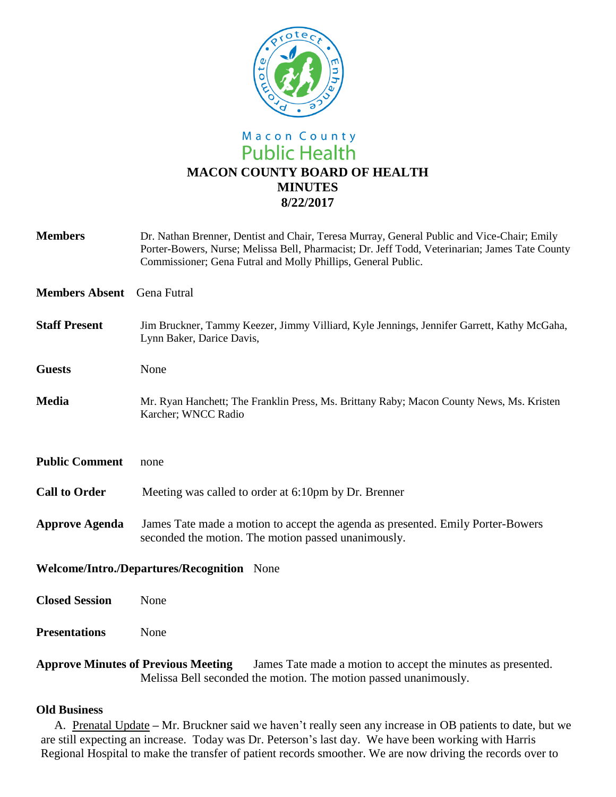

# Macon County **Public Health MACON COUNTY BOARD OF HEALTH MINUTES 8/22/2017**

| <b>Members</b>                                                                                             | Dr. Nathan Brenner, Dentist and Chair, Teresa Murray, General Public and Vice-Chair; Emily<br>Porter-Bowers, Nurse; Melissa Bell, Pharmacist; Dr. Jeff Todd, Veterinarian; James Tate County<br>Commissioner; Gena Futral and Molly Phillips, General Public. |
|------------------------------------------------------------------------------------------------------------|---------------------------------------------------------------------------------------------------------------------------------------------------------------------------------------------------------------------------------------------------------------|
| <b>Members Absent</b>                                                                                      | Gena Futral                                                                                                                                                                                                                                                   |
| <b>Staff Present</b>                                                                                       | Jim Bruckner, Tammy Keezer, Jimmy Villiard, Kyle Jennings, Jennifer Garrett, Kathy McGaha,<br>Lynn Baker, Darice Davis,                                                                                                                                       |
| <b>Guests</b>                                                                                              | None                                                                                                                                                                                                                                                          |
| <b>Media</b>                                                                                               | Mr. Ryan Hanchett; The Franklin Press, Ms. Brittany Raby; Macon County News, Ms. Kristen<br>Karcher; WNCC Radio                                                                                                                                               |
| <b>Public Comment</b>                                                                                      | none                                                                                                                                                                                                                                                          |
| <b>Call to Order</b>                                                                                       | Meeting was called to order at 6:10pm by Dr. Brenner                                                                                                                                                                                                          |
| <b>Approve Agenda</b>                                                                                      | James Tate made a motion to accept the agenda as presented. Emily Porter-Bowers<br>seconded the motion. The motion passed unanimously.                                                                                                                        |
| Welcome/Intro./Departures/Recognition None                                                                 |                                                                                                                                                                                                                                                               |
| <b>Closed Session</b>                                                                                      | None                                                                                                                                                                                                                                                          |
| <b>Presentations</b>                                                                                       | None                                                                                                                                                                                                                                                          |
| <b>Approve Minutes of Previous Meeting</b><br>James Tate made a motion to accept the minutes as presented. |                                                                                                                                                                                                                                                               |

Melissa Bell seconded the motion. The motion passed unanimously.

## **Old Business**

A. Prenatal Update **–** Mr. Bruckner said we haven't really seen any increase in OB patients to date, but we are still expecting an increase. Today was Dr. Peterson's last day. We have been working with Harris Regional Hospital to make the transfer of patient records smoother. We are now driving the records over to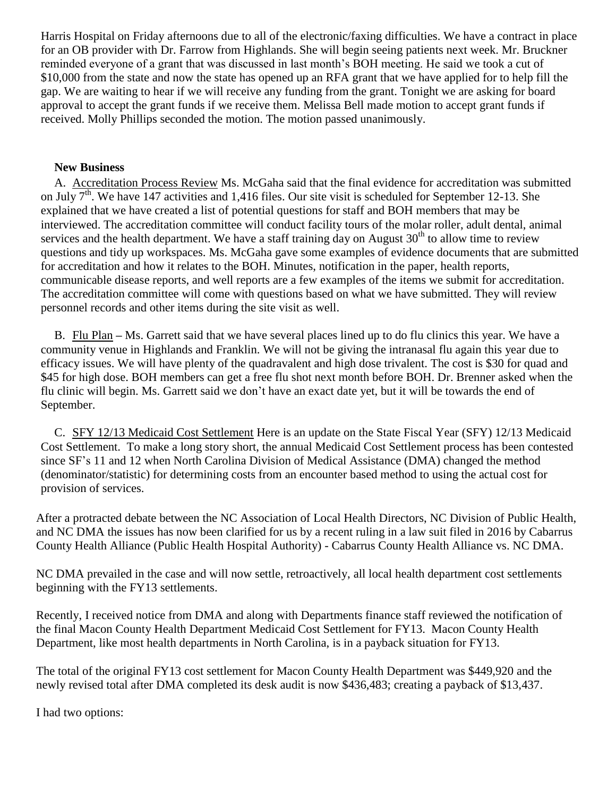Harris Hospital on Friday afternoons due to all of the electronic/faxing difficulties. We have a contract in place for an OB provider with Dr. Farrow from Highlands. She will begin seeing patients next week. Mr. Bruckner reminded everyone of a grant that was discussed in last month's BOH meeting. He said we took a cut of \$10,000 from the state and now the state has opened up an RFA grant that we have applied for to help fill the gap. We are waiting to hear if we will receive any funding from the grant. Tonight we are asking for board approval to accept the grant funds if we receive them. Melissa Bell made motion to accept grant funds if received. Molly Phillips seconded the motion. The motion passed unanimously.

#### **New Business**

A. Accreditation Process Review Ms. McGaha said that the final evidence for accreditation was submitted on July  $7<sup>th</sup>$ . We have 147 activities and 1,416 files. Our site visit is scheduled for September 12-13. She explained that we have created a list of potential questions for staff and BOH members that may be interviewed. The accreditation committee will conduct facility tours of the molar roller, adult dental, animal services and the health department. We have a staff training day on August  $30<sup>th</sup>$  to allow time to review questions and tidy up workspaces. Ms. McGaha gave some examples of evidence documents that are submitted for accreditation and how it relates to the BOH. Minutes, notification in the paper, health reports, communicable disease reports, and well reports are a few examples of the items we submit for accreditation. The accreditation committee will come with questions based on what we have submitted. They will review personnel records and other items during the site visit as well.

B. Flu Plan **–** Ms. Garrett said that we have several places lined up to do flu clinics this year. We have a community venue in Highlands and Franklin. We will not be giving the intranasal flu again this year due to efficacy issues. We will have plenty of the quadravalent and high dose trivalent. The cost is \$30 for quad and \$45 for high dose. BOH members can get a free flu shot next month before BOH. Dr. Brenner asked when the flu clinic will begin. Ms. Garrett said we don't have an exact date yet, but it will be towards the end of September.

C. SFY 12/13 Medicaid Cost Settlement Here is an update on the State Fiscal Year (SFY) 12/13 Medicaid Cost Settlement. To make a long story short, the annual Medicaid Cost Settlement process has been contested since SF's 11 and 12 when North Carolina Division of Medical Assistance (DMA) changed the method (denominator/statistic) for determining costs from an encounter based method to using the actual cost for provision of services.

After a protracted debate between the NC Association of Local Health Directors, NC Division of Public Health, and NC DMA the issues has now been clarified for us by a recent ruling in a law suit filed in 2016 by Cabarrus County Health Alliance (Public Health Hospital Authority) - Cabarrus County Health Alliance vs. NC DMA.

NC DMA prevailed in the case and will now settle, retroactively, all local health department cost settlements beginning with the FY13 settlements.

Recently, I received notice from DMA and along with Departments finance staff reviewed the notification of the final Macon County Health Department Medicaid Cost Settlement for FY13. Macon County Health Department, like most health departments in North Carolina, is in a payback situation for FY13.

The total of the original FY13 cost settlement for Macon County Health Department was \$449,920 and the newly revised total after DMA completed its desk audit is now \$436,483; creating a payback of \$13,437.

I had two options: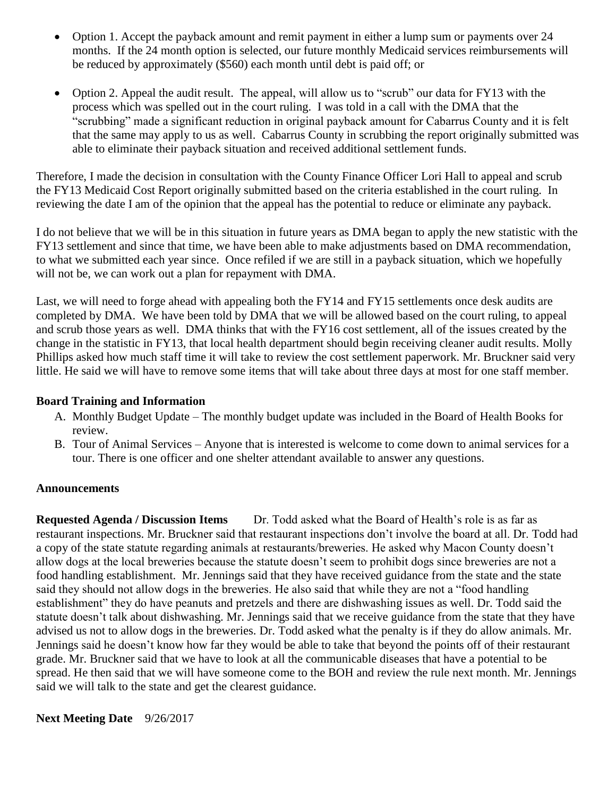- Option 1. Accept the payback amount and remit payment in either a lump sum or payments over 24 months. If the 24 month option is selected, our future monthly Medicaid services reimbursements will be reduced by approximately (\$560) each month until debt is paid off; or
- Option 2. Appeal the audit result. The appeal, will allow us to "scrub" our data for FY13 with the process which was spelled out in the court ruling. I was told in a call with the DMA that the "scrubbing" made a significant reduction in original payback amount for Cabarrus County and it is felt that the same may apply to us as well. Cabarrus County in scrubbing the report originally submitted was able to eliminate their payback situation and received additional settlement funds.

Therefore, I made the decision in consultation with the County Finance Officer Lori Hall to appeal and scrub the FY13 Medicaid Cost Report originally submitted based on the criteria established in the court ruling. In reviewing the date I am of the opinion that the appeal has the potential to reduce or eliminate any payback.

I do not believe that we will be in this situation in future years as DMA began to apply the new statistic with the FY13 settlement and since that time, we have been able to make adjustments based on DMA recommendation, to what we submitted each year since. Once refiled if we are still in a payback situation, which we hopefully will not be, we can work out a plan for repayment with DMA.

Last, we will need to forge ahead with appealing both the FY14 and FY15 settlements once desk audits are completed by DMA. We have been told by DMA that we will be allowed based on the court ruling, to appeal and scrub those years as well. DMA thinks that with the FY16 cost settlement, all of the issues created by the change in the statistic in FY13, that local health department should begin receiving cleaner audit results. Molly Phillips asked how much staff time it will take to review the cost settlement paperwork. Mr. Bruckner said very little. He said we will have to remove some items that will take about three days at most for one staff member.

# **Board Training and Information**

- A. Monthly Budget Update The monthly budget update was included in the Board of Health Books for review.
- B. Tour of Animal Services Anyone that is interested is welcome to come down to animal services for a tour. There is one officer and one shelter attendant available to answer any questions.

### **Announcements**

**Requested Agenda / Discussion Items** Dr. Todd asked what the Board of Health's role is as far as restaurant inspections. Mr. Bruckner said that restaurant inspections don't involve the board at all. Dr. Todd had a copy of the state statute regarding animals at restaurants/breweries. He asked why Macon County doesn't allow dogs at the local breweries because the statute doesn't seem to prohibit dogs since breweries are not a food handling establishment. Mr. Jennings said that they have received guidance from the state and the state said they should not allow dogs in the breweries. He also said that while they are not a "food handling establishment" they do have peanuts and pretzels and there are dishwashing issues as well. Dr. Todd said the statute doesn't talk about dishwashing. Mr. Jennings said that we receive guidance from the state that they have advised us not to allow dogs in the breweries. Dr. Todd asked what the penalty is if they do allow animals. Mr. Jennings said he doesn't know how far they would be able to take that beyond the points off of their restaurant grade. Mr. Bruckner said that we have to look at all the communicable diseases that have a potential to be spread. He then said that we will have someone come to the BOH and review the rule next month. Mr. Jennings said we will talk to the state and get the clearest guidance.

**Next Meeting Date** 9/26/2017